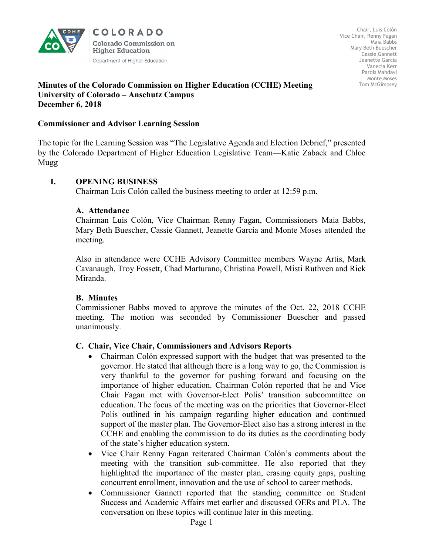

**COLORADO Colorado Commission on Higher Education** Department of Higher Education

### **Minutes of the Colorado Commission on Higher Education (CCHE) Meeting University of Colorado – Anschutz Campus December 6, 2018**

### **Commissioner and Advisor Learning Session**

The topic for the Learning Session was "The Legislative Agenda and Election Debrief," presented by the Colorado Department of Higher Education Legislative Team—Katie Zaback and Chloe Mugg

## **I. OPENING BUSINESS**

Chairman Luis Colón called the business meeting to order at 12:59 p.m.

### **A. Attendance**

Chairman Luis Colón, Vice Chairman Renny Fagan, Commissioners Maia Babbs, Mary Beth Buescher, Cassie Gannett, Jeanette Garcia and Monte Moses attended the meeting.

Also in attendance were CCHE Advisory Committee members Wayne Artis, Mark Cavanaugh, Troy Fossett, Chad Marturano, Christina Powell, Misti Ruthven and Rick Miranda.

### **B. Minutes**

Commissioner Babbs moved to approve the minutes of the Oct. 22, 2018 CCHE meeting. The motion was seconded by Commissioner Buescher and passed unanimously.

### **C. Chair, Vice Chair, Commissioners and Advisors Reports**

- Chairman Colón expressed support with the budget that was presented to the governor. He stated that although there is a long way to go, the Commission is very thankful to the governor for pushing forward and focusing on the importance of higher education. Chairman Colón reported that he and Vice Chair Fagan met with Governor-Elect Polis' transition subcommittee on education. The focus of the meeting was on the priorities that Governor-Elect Polis outlined in his campaign regarding higher education and continued support of the master plan. The Governor-Elect also has a strong interest in the CCHE and enabling the commission to do its duties as the coordinating body of the state's higher education system.
- Vice Chair Renny Fagan reiterated Chairman Colón's comments about the meeting with the transition sub-committee. He also reported that they highlighted the importance of the master plan, erasing equity gaps, pushing concurrent enrollment, innovation and the use of school to career methods.
- Commissioner Gannett reported that the standing committee on Student Success and Academic Affairs met earlier and discussed OERs and PLA. The conversation on these topics will continue later in this meeting.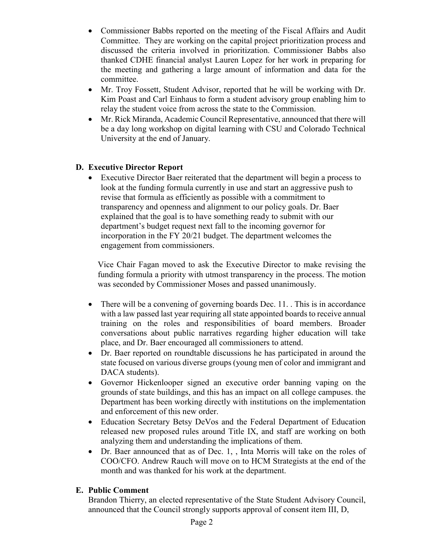- Commissioner Babbs reported on the meeting of the Fiscal Affairs and Audit Committee. They are working on the capital project prioritization process and discussed the criteria involved in prioritization. Commissioner Babbs also thanked CDHE financial analyst Lauren Lopez for her work in preparing for the meeting and gathering a large amount of information and data for the committee.
- Mr. Troy Fossett, Student Advisor, reported that he will be working with Dr. Kim Poast and Carl Einhaus to form a student advisory group enabling him to relay the student voice from across the state to the Commission.
- Mr. Rick Miranda, Academic Council Representative, announced that there will be a day long workshop on digital learning with CSU and Colorado Technical University at the end of January.

# **D. Executive Director Report**

• Executive Director Baer reiterated that the department will begin a process to look at the funding formula currently in use and start an aggressive push to revise that formula as efficiently as possible with a commitment to transparency and openness and alignment to our policy goals. Dr. Baer explained that the goal is to have something ready to submit with our department's budget request next fall to the incoming governor for incorporation in the FY 20/21 budget. The department welcomes the engagement from commissioners.

Vice Chair Fagan moved to ask the Executive Director to make revising the funding formula a priority with utmost transparency in the process. The motion was seconded by Commissioner Moses and passed unanimously.

- There will be a convening of governing boards Dec. 11. This is in accordance with a law passed last year requiring all state appointed boards to receive annual training on the roles and responsibilities of board members. Broader conversations about public narratives regarding higher education will take place, and Dr. Baer encouraged all commissioners to attend.
- Dr. Baer reported on roundtable discussions he has participated in around the state focused on various diverse groups (young men of color and immigrant and DACA students).
- Governor Hickenlooper signed an executive order banning vaping on the grounds of state buildings, and this has an impact on all college campuses. the Department has been working directly with institutions on the implementation and enforcement of this new order.
- Education Secretary Betsy DeVos and the Federal Department of Education released new proposed rules around Title IX, and staff are working on both analyzing them and understanding the implications of them.
- Dr. Baer announced that as of Dec. 1, , Inta Morris will take on the roles of COO/CFO. Andrew Rauch will move on to HCM Strategists at the end of the month and was thanked for his work at the department.

## **E. Public Comment**

Brandon Thierry, an elected representative of the State Student Advisory Council, announced that the Council strongly supports approval of consent item III, D,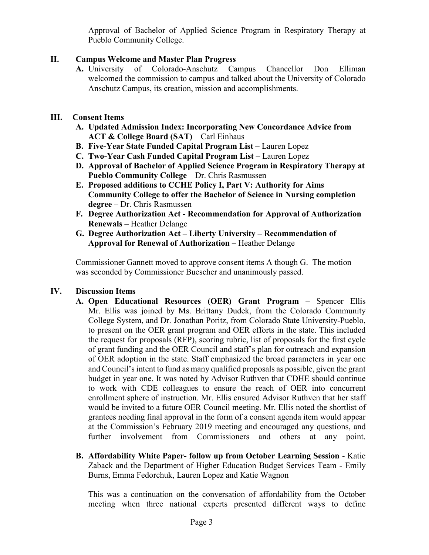Approval of Bachelor of Applied Science Program in Respiratory Therapy at Pueblo Community College.

# **II. Campus Welcome and Master Plan Progress**

**A.** University of Colorado-Anschutz Campus Chancellor Don Elliman welcomed the commission to campus and talked about the University of Colorado Anschutz Campus, its creation, mission and accomplishments.

# **III. Consent Items**

- **A. Updated Admission Index: Incorporating New Concordance Advice from ACT & College Board (SAT)** – Carl Einhaus
- **B. Five-Year State Funded Capital Program List –** Lauren Lopez
- **C. Two-Year Cash Funded Capital Program List** Lauren Lopez
- **D. Approval of Bachelor of Applied Science Program in Respiratory Therapy at Pueblo Community College** – Dr. Chris Rasmussen
- **E. Proposed additions to CCHE Policy I, Part V: Authority for Aims Community College to offer the Bachelor of Science in Nursing completion degree** – Dr. Chris Rasmussen
- **F. Degree Authorization Act - Recommendation for Approval of Authorization Renewals** – Heather Delange
- **G. Degree Authorization Act – Liberty University – Recommendation of Approval for Renewal of Authorization** – Heather Delange

 Commissioner Gannett moved to approve consent items A though G. The motion was seconded by Commissioner Buescher and unanimously passed.

## **IV. Discussion Items**

- **A. Open Educational Resources (OER) Grant Program** *–* Spencer Ellis Mr. Ellis was joined by Ms. Brittany Dudek, from the Colorado Community College System, and Dr. Jonathan Poritz, from Colorado State University-Pueblo, to present on the OER grant program and OER efforts in the state. This included the request for proposals (RFP), scoring rubric, list of proposals for the first cycle of grant funding and the OER Council and staff's plan for outreach and expansion of OER adoption in the state. Staff emphasized the broad parameters in year one and Council's intent to fund as many qualified proposals as possible, given the grant budget in year one. It was noted by Advisor Ruthven that CDHE should continue to work with CDE colleagues to ensure the reach of OER into concurrent enrollment sphere of instruction. Mr. Ellis ensured Advisor Ruthven that her staff would be invited to a future OER Council meeting. Mr. Ellis noted the shortlist of grantees needing final approval in the form of a consent agenda item would appear at the Commission's February 2019 meeting and encouraged any questions, and further involvement from Commissioners and others at any point.
- **B. Affordability White Paper- follow up from October Learning Session** Katie Zaback and the Department of Higher Education Budget Services Team - Emily Burns, Emma Fedorchuk, Lauren Lopez and Katie Wagnon

This was a continuation on the conversation of affordability from the October meeting when three national experts presented different ways to define